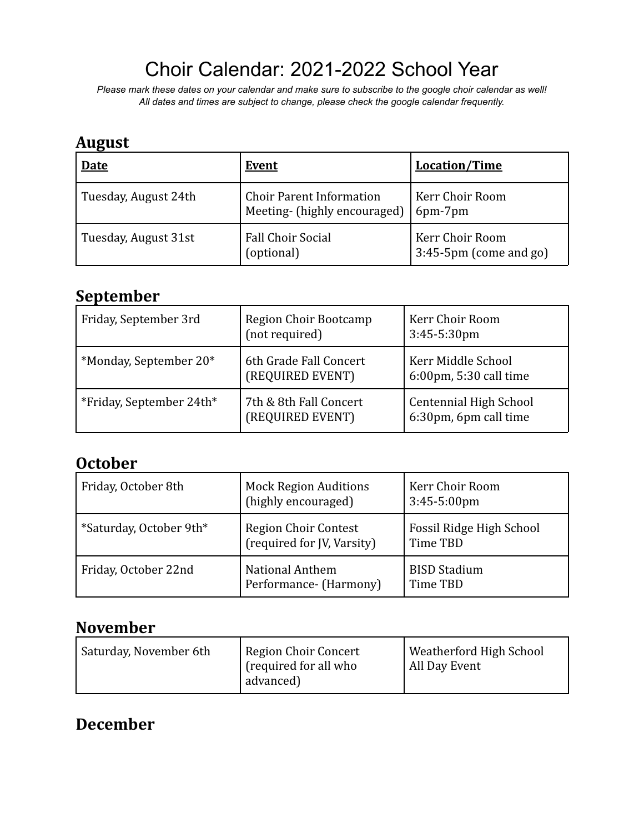# Choir Calendar: 2021-2022 School Year

*Please mark these dates on your calendar and make sure to subscribe to the google choir calendar as well! All dates and times are subject to change, please check the google calendar frequently.*

### **August**

| <b>Date</b>          | <b>Event</b>                                                    | <b>Location/Time</b>                         |
|----------------------|-----------------------------------------------------------------|----------------------------------------------|
| Tuesday, August 24th | <b>Choir Parent Information</b><br>Meeting- (highly encouraged) | Kerr Choir Room<br>6pm-7pm                   |
| Tuesday, August 31st | <b>Fall Choir Social</b><br>(optional)                          | Kerr Choir Room<br>$3:45-5$ pm (come and go) |

### **September**

| Friday, September 3rd    | Region Choir Bootcamp<br>(not required)    | Kerr Choir Room<br>$3:45-5:30$ pm                      |
|--------------------------|--------------------------------------------|--------------------------------------------------------|
| *Monday, September 20*   | 6th Grade Fall Concert<br>(REQUIRED EVENT) | Kerr Middle School<br>6:00pm, 5:30 call time           |
| *Friday, September 24th* | 7th & 8th Fall Concert<br>(REQUIRED EVENT) | <b>Centennial High School</b><br>6:30pm, 6pm call time |

### **October**

| Friday, October 8th     | <b>Mock Region Auditions</b><br>(highly encouraged) | Kerr Choir Room<br>$3:45-5:00 \text{pm}$ |
|-------------------------|-----------------------------------------------------|------------------------------------------|
| *Saturday, October 9th* | Region Choir Contest<br>(required for JV, Varsity)  | Fossil Ridge High School<br>Time TBD     |
| Friday, October 22nd    | <b>National Anthem</b><br>Performance- (Harmony)    | <b>BISD Stadium</b><br>Time TBD          |

### **November**

| Saturday, November 6th | Region Choir Concert<br>' (required for all who<br>advanced) | Weatherford High School<br>All Day Event |
|------------------------|--------------------------------------------------------------|------------------------------------------|
|------------------------|--------------------------------------------------------------|------------------------------------------|

## **December**